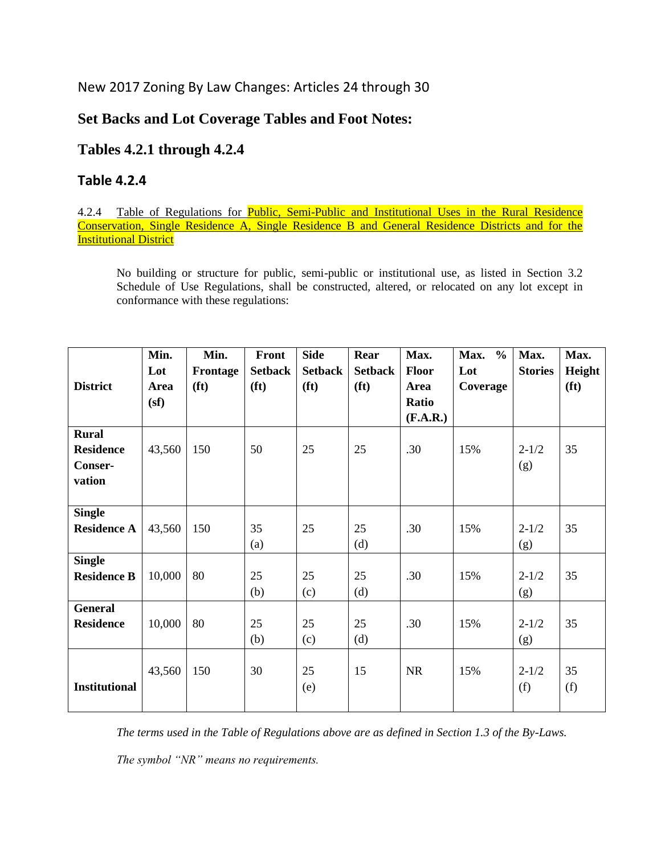# New 2017 Zoning By Law Changes: Articles 24 through 30

### **Set Backs and Lot Coverage Tables and Foot Notes:**

# **Tables 4.2.1 through 4.2.4**

#### **Table 4.2.4**

#### 4.2.4 Table of Regulations for **Public, Semi-Public and Institutional Uses in the Rural Residence** Conservation, Single Residence A, Single Residence B and General Residence Districts and for the **Institutional District**

No building or structure for public, semi-public or institutional use, as listed in Section 3.2 Schedule of Use Regulations, shall be constructed, altered, or relocated on any lot except in conformance with these regulations:

|                      | Min.   | Min.              | Front             | <b>Side</b>       | Rear              | Max.      | $\frac{0}{0}$<br>Max. | Max.           | Max.              |
|----------------------|--------|-------------------|-------------------|-------------------|-------------------|-----------|-----------------------|----------------|-------------------|
|                      | Lot    | Frontage          | <b>Setback</b>    | <b>Setback</b>    | <b>Setback</b>    | Floor     | Lot                   | <b>Stories</b> | Height            |
| <b>District</b>      | Area   | (f <sub>t</sub> ) | (f <sub>t</sub> ) | (f <sup>t</sup> ) | (f <sub>t</sub> ) | Area      | Coverage              |                | (f <sub>t</sub> ) |
|                      | (sf)   |                   |                   |                   |                   | Ratio     |                       |                |                   |
|                      |        |                   |                   |                   |                   | (F.A.R.)  |                       |                |                   |
| <b>Rural</b>         |        |                   |                   |                   |                   |           |                       |                |                   |
| <b>Residence</b>     | 43,560 | 150               | 50                | 25                | 25                | .30       | 15%                   | $2 - 1/2$      | 35                |
| Conser-              |        |                   |                   |                   |                   |           |                       | (g)            |                   |
| vation               |        |                   |                   |                   |                   |           |                       |                |                   |
|                      |        |                   |                   |                   |                   |           |                       |                |                   |
| <b>Single</b>        |        |                   |                   |                   |                   |           |                       |                |                   |
| <b>Residence A</b>   | 43,560 | 150               | 35                | 25                | 25                | .30       | 15%                   | $2 - 1/2$      | 35                |
|                      |        |                   | (a)               |                   | (d)               |           |                       | (g)            |                   |
| <b>Single</b>        |        |                   |                   |                   |                   |           |                       |                |                   |
| <b>Residence B</b>   | 10,000 | 80                | 25                | 25                | 25                | .30       | 15%                   | $2 - 1/2$      | 35                |
|                      |        |                   | (b)               | (c)               | (d)               |           |                       | (g)            |                   |
| <b>General</b>       |        |                   |                   |                   |                   |           |                       |                |                   |
| <b>Residence</b>     | 10,000 | 80                | 25                | 25                | 25                | .30       | 15%                   | $2 - 1/2$      | 35                |
|                      |        |                   | (b)               | (c)               | (d)               |           |                       | (g)            |                   |
|                      |        |                   |                   |                   |                   |           |                       |                |                   |
|                      | 43,560 | 150               | 30                | 25                | 15                | <b>NR</b> | 15%                   | $2 - 1/2$      | 35                |
| <b>Institutional</b> |        |                   |                   | (e)               |                   |           |                       | (f)            | (f)               |
|                      |        |                   |                   |                   |                   |           |                       |                |                   |

*The terms used in the Table of Regulations above are as defined in Section 1.3 of the By-Laws.* 

*The symbol "NR" means no requirements.*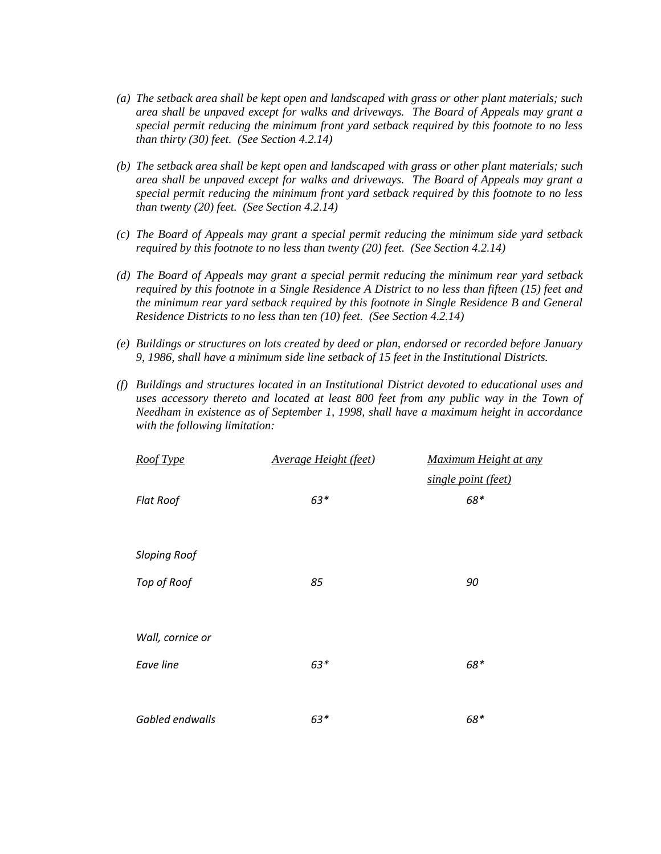- *(a) The setback area shall be kept open and landscaped with grass or other plant materials; such area shall be unpaved except for walks and driveways. The Board of Appeals may grant a special permit reducing the minimum front yard setback required by this footnote to no less than thirty (30) feet. (See Section 4.2.14)*
- *(b) The setback area shall be kept open and landscaped with grass or other plant materials; such area shall be unpaved except for walks and driveways. The Board of Appeals may grant a special permit reducing the minimum front yard setback required by this footnote to no less than twenty (20) feet. (See Section 4.2.14)*
- *(c) The Board of Appeals may grant a special permit reducing the minimum side yard setback required by this footnote to no less than twenty (20) feet. (See Section 4.2.14)*
- *(d) The Board of Appeals may grant a special permit reducing the minimum rear yard setback required by this footnote in a Single Residence A District to no less than fifteen (15) feet and the minimum rear yard setback required by this footnote in Single Residence B and General Residence Districts to no less than ten (10) feet. (See Section 4.2.14)*
- *(e) Buildings or structures on lots created by deed or plan, endorsed or recorded before January 9, 1986, shall have a minimum side line setback of 15 feet in the Institutional Districts.*
- *(f) Buildings and structures located in an Institutional District devoted to educational uses and uses accessory thereto and located at least 800 feet from any public way in the Town of Needham in existence as of September 1, 1998, shall have a maximum height in accordance with the following limitation:*

| Roof Type           | <b>Average Height (feet)</b> | Maximum Height at any |
|---------------------|------------------------------|-----------------------|
|                     |                              | single point (feet)   |
| <b>Flat Roof</b>    | 63*                          | 68*                   |
|                     |                              |                       |
| <b>Sloping Roof</b> |                              |                       |
|                     |                              |                       |
| Top of Roof         | 85                           | 90                    |
|                     |                              |                       |
| Wall, cornice or    |                              |                       |
| Eave line           | $63*$                        | 68*                   |
|                     |                              |                       |
|                     |                              |                       |
| Gabled endwalls     | 63*                          | 68*                   |